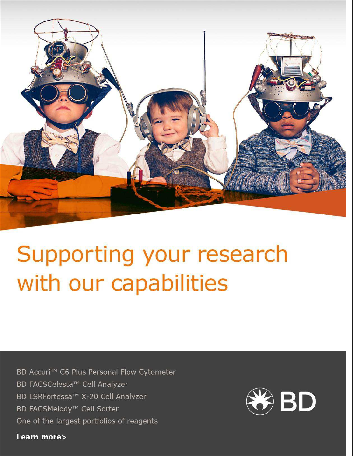

# Supporting your research with our capabilities

BD Accuri<sup>™</sup> C6 Plus Personal Flow Cytometer

- BD FACSCelesta<sup>™</sup> Cell Analyzer
- BD LSRFortessa™ X-20 Cell Analyzer
- BD FACSMelody<sup>™</sup> Cell Sorter
- One of the largest portfolios of reagents

**Learn more>** 

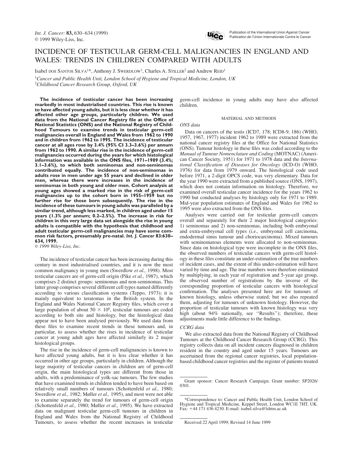

## INCIDENCE OF TESTICULAR GERM-CELL MALIGNANCIES IN ENGLAND AND WALES: TRENDS IN CHILDREN COMPARED WITH ADULTS

Isabel DOS SANTOS SILVA<sup>1\*</sup>, Anthony J. SWERDLOW<sup>1</sup>, Charles A. STILLER<sup>2</sup> and Andrew REID<sup>1</sup> <sup>1</sup>*Cancer and Public Health Unit, London School of Hygiene and Tropical Medicine, London, UK*

<sup>2</sup>*Childhood Cancer Research Group, Oxford, UK*

**The incidence of testicular cancer has been increasing markedly in most industrialised countries. This rise is known to have affected young adults, but it is less clear whether it has affected other age groups, particularly children. We used data from the National Cancer Registry file at the Office of National Statistics (ONS) and the National Registry of Childhood Tumours to examine trends in testicular germ-cell malignancies overall in England and Wales from 1962 to 1990 and in children from 1962 to 1995. The incidence of testicular cancer at all ages rose by 3.4% (95% CI 3.3–3.6%) per annum from 1962 to 1990. A similar rise in the incidence of germ-cell malignancies occurred during the years for which histological information was available in the ONS files, 1971–1989 (3.4%; 3.1–3.6%), to which both seminomas and non-seminomas contributed equally. The incidence of non-seminomas in adults rose in men under age 55 years and declined in older men, whereas there were increases in the incidence of seminomas in both young and older men. Cohort analysis at young ages showed a marked rise in the risk of germ-cell malignancies up to the cohort born in 1955–1959 but no further rise for those born subsequently. The rise in the incidence of these tumours in young adults was paralleled by a similar trend, although less marked, in children aged under 15 years (1.3% per annum; 0.2–2.5%). The increase in risk for children in this very large data set alongside the rise in young adults is compatible with the hypothesis that childhood and adult testicular germ-cell malignancies may have some common risk factors, presumably pre-natal.** *Int. J. Cancer* **83:630– 634, 1999.**

 $\odot$  1999 Wiley-Liss, Inc.

The incidence of testicular cancer has been increasing during this century in most industrialised countries, and it is now the most common malignancy in young men (Swerdlow *et al.,* 1998). Most testicular cancers are of germ-cell origin (Pike *et al.,* 1987), which comprises 2 distinct groups: seminomas and non-seminomas. This latter group comprises several different cell types named differently according to various classification systems (Teppo, 1973); it is mainly equivalent to teratomas in the British system. In the England and Wales National Cancer Registry files, which cover a large population of about  $50 \times 10^6$ , testicular tumours are coded according to both site and histology, but the histological data appear not to have been analysed previously. We used data from these files to examine recent trends in these tumours and, in particular, to assess whether the rises in incidence of testicular cancer at young adult ages have affected similarly its 2 major histological groups.

The rise in the incidence of germ-cell malignancies is known to have affected young adults, but it is less clear whether it has occurred in other age groups, particularly in children. Although the large majority of testicular cancers in children are of germ-cell origin, the main histological types are different from those in adults, with a predominance of yolk-sac tumours. The few studies that have examined trends in children tended to have been based on relatively small numbers of tumours (Schottenfeld *et al.,* 1980; Swerdlow *et al.,* 1982; Møller *et al.,* 1995), and most were not able to examine separately the trend for tumours of germ-cell origin (Schottenfeld *et al.,* 1980; Møller *et al.,* 1995). We have extracted data on malignant testicular germ-cell tumours in children in England and Wales from the National Registry of Childhood Tumours, to assess whether the recent increases in testicular

germ-cell incidence in young adults may have also affected children.

#### MATERIAL AND METHODS

### *ONS data*

Data on cancers of the testis (ICD7, 178; ICD8-9, 186) (WHO, 1957, 1967, 1977) incident 1962 to 1989 were extracted from the national cancer registry files at the Office for National Statistics (ONS). Tumour histology in these files was coded according to the *Manual of Tumour Nomenclature and Coding* (MOTNAC) (American Cancer Society, 1951) for 1971 to 1978 data and the *International Classification of Diseases for Oncology* (ICD-O) (WHO, 1976) for data from 1979 onward. The histological code used before 1971, a 2-digit OPCS code, was very elementary. Data for the year 1990 were extracted from a published source (ONS, 1997), which does not contain information on histology. Therefore, we examined overall testicular cancer incidence for the years 1962 to 1990 but conducted analyses by histology only for 1971 to 1989. Mid-year population estimates of England and Wales for 1962 to 1995 were also extracted from the ONS files.

Analyses were carried out for testicular germ-cell cancers overall and separately for their 2 major histological categories: 1) seminomas and 2) non-seminomas, including both embryonal and extra-embryonal cell types (*i.e.,* embryonal cell carcinoma, endodermal sinus tumour and choriocarcinoma). Mixed tumours with seminomatous elements were allocated to non-seminomas. Since data on histological type were incomplete in the ONS files, the observed numbers of testicular cancers with germ-cell histology in these files constitute an under-estimation of the true numbers of incident cases, and the extent of this under-estimation will have varied by time and age. The true numbers were therefore estimated by multiplying, in each year of registration and 5-year age group, the observed number of registrations by the inverse of the corresponding proportion of testicular cancers with histological confirmation. The analyses presented here are for tumours of known histology, unless otherwise stated; but we also repeated them, adjusting for tumours of unknown histology. However, the proportion of testicular tumours with known histology was very high (about 94% nationally, see ''Results''); therefore, these adjustments made little difference to the findings.

#### *CCRG data*

We also extracted data from the National Registry of Childhood Tumours at the Childhood Cancer Research Group (CCRG). This registry collects data on all incident cancers diagnosed in children resident in the country and aged under 15 years. Tumours are ascertained from the regional cancer registries, local populationbased childhood cancer registries and the register of patients treated

Grant sponsor: Cancer Research Campaign; Grant number: SP2026/ 0301.

<sup>\*</sup>Correspondence to: Cancer and Public Health Unit, London School of Hygiene and Tropical Medicine, Keppel Street, London WC1E 7HT, UK. Fax: +44 171 436 4230. E-mail: isabel.silva@lshtm.ac.uk

Received 22 April 1999; Revised 14 June 1999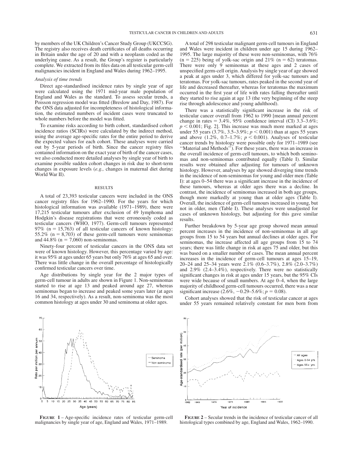by members of the UK Children's Cancer Study Group (UKCCSG). The registry also receives death certificates of all deaths occurring in Britain under the age of 20 and with a neoplasm coded as the underlying cause. As a result, the Group's register is particularly complete. We extracted from its files data on all testicular germ-cell malignancies incident in England and Wales during 1962–1995.

#### *Analysis of time trends*

Direct age-standardised incidence rates by single year of age were calculated using the 1971 mid-year male population of England and Wales as the standard. To assess secular trends, a Poisson regression model was fitted (Breslow and Day, 1987). For the ONS data adjusted for incompleteness of histological information, the estimated numbers of incident cases were truncated to whole numbers before the model was fitted.

To examine risks according to birth cohort, standardised cohort incidence ratios (SCIRs) were calculated by the indirect method, using the average age-specific rates for the entire period to derive the expected values for each cohort. These analyses were carried out by 5-year periods of birth. Since the cancer registry files contained information on the exact year of birth of the cancer cases, we also conducted more detailed analyses by single year of birth to examine possible sudden cohort changes in risk due to short-term changes in exposure levels (*e.g.,* changes in maternal diet during World War II).

#### RESULTS

A total of 23,393 testicular cancers were included in the ONS cancer registry files for 1962–1990. For the years for which histological information was available (1971–1989), there were 17,215 testicular tumours after exclusion of 49 lymphoma and Hodgkin's disease registrations that were erroneously coded as testicular cancers (WHO, 1977). Germ-cell tumours represented 97% ( $n = 15,763$ ) of all testicular cancers of known histology: 55.2% ( $n = 8,703$ ) of these germ-cell tumours were seminomas and 44.8% ( $n = 7,060$ ) non-seminomas.

Ninety-four percent of testicular cancers in the ONS data set were of known histology. However, this percentage varied by age: it was 95% at ages under 65 years but only 76% at ages 65 and over. There was little change in the overall percentage of histologically confirmed testicular cancers over time.

Age distributions by single year for the 2 major types of germ-cell tumour in adults are shown in Figure 1. Non-seminomas started to rise at age 13 and peaked around age 27, whereas seminomas began to increase and peaked some years later (at ages 16 and 34, respectively). As a result, non-seminoma was the most common histology at ages under 30 and seminoma at older ages.

A total of 298 testicular malignant germ-cell tumours in England and Wales were incident in children under age 15 during 1962– 1995. The large majority of these were non-seminomas, with 76%  $(n = 225)$  being of yolk-sac origin and 21%  $(n = 62)$  teratomas. There were only 9 seminomas at these ages and 2 cases of unspecified germ-cell origin. Analysis by single year of age showed a peak at ages under 3, which differed for yolk-sac tumours and teratomas. For yolk-sac tumours, rates peaked in the second year of life and decreased thereafter, whereas for teratomas the maximum occurred in the first year of life with rates falling thereafter until they started to rise again at age 13 (the very beginning of the steep rise through adolescence and young adulthood).

There was a statistically significant increase in the risk of testicular cancer overall from 1962 to 1990 [mean annual percent change in rates  $= 3.4\%$ , 95% confidence interval (CI) 3.3–3.6%;  $p < 0.001$ ; Fig. 2]. This increase was much more marked at ages under 55 years  $(3.7\%, 3.5-3.9\%; p < 0.001)$  than at ages 55 years and above  $(1.2\%, 0.7-1.7\%; p < 0.001)$ . Analyses of testicular cancer trends by histology were possible only for 1971–1989 (see "Material and Methods"). For these years, there was an increase in the overall incidence of germ-cell tumours, to which both seminomas and non-seminomas contributed equally (Table I). Similar results were obtained after adjusting for tumours of unknown histology. However, analyses by age showed diverging time trends in the incidence of non-seminomas for young and older men (Table I): at ages 0–54 there was a significant increase in the incidence of these tumours, whereas at older ages there was a decline. In contrast, the incidence of seminomas increased in both age groups, though more markedly at young than at older ages (Table I). Overall, the incidence of germ-cell tumours increased in young, but not in older, men (Table I). These analyses were unadjusted for cases of unknown histology, but adjusting for this gave similar results.

Further breakdown by 5-year age group showed mean annual percent increases in the incidence of non-seminomas in all age groups from 15 to 54 years but annual declines at older ages. For seminomas, the increase affected all age groups from 15 to 74 years; there was little change in risk at ages 75 and older, but this was based on a smaller number of cases. The mean annual percent increases in the incidence of germ-cell tumours at ages 15–19, 20–24 and 25–34 years were 2.1% (0.6–3.7%), 2.8% (2.0–3.7%) and 2.9% (2.4–3.4%), respectively. There were no statistically significant changes in risk at ages under 15 years, but the 95% CIs were wide because of small numbers. At age 0–4, when the large majority of childhood germ-cell tumours occurred, there was a near significant increase  $(2.6\%, -0.29-5.6\%; p = 0.08)$ .

Cohort analyses showed that the risk of testicular cancer at ages under 55 years remained relatively constant for men born from



**FIGURE 1** – Age-specific incidence rates of testicular germ-cell malignancies by single year of age, England and Wales, 1971–1989.



**FIGURE 2** – Secular trends in the incidence of testicular cancer of all histological types combined by age, England and Wales, 1962–1990.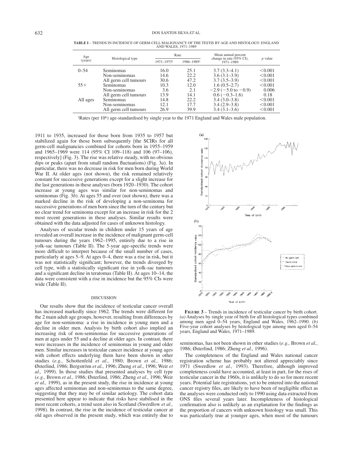| Age<br>(years) | Histological type     | Rate                       |                            | Mean annual percent                   |           |
|----------------|-----------------------|----------------------------|----------------------------|---------------------------------------|-----------|
|                |                       | $1971 - 1975$ <sup>1</sup> | $1986 - 1989$ <sup>1</sup> | change in rate (95% CI),<br>1971-1989 | $p$ value |
| $0 - 54$       | Seminomas             | 16.0                       | 25.1                       | $3.7(3.3-4.1)$                        | < 0.001   |
|                | Non-seminomas         | 14.6                       | 22.2                       | $3.6(3.1-3.9)$                        | < 0.001   |
|                | All germ cell tumours | 30.6                       | 47.2                       | $3.7(3.5-3.9)$                        | < 0.001   |
| $55+$          | Seminomas             | 10.3                       | 12.0                       | $1.6(0.5-2.7)$                        | < 0.001   |
|                | Non-seminomas         | 3.6                        | 2.1                        | $-2.9$ ( $-5.0$ to $-0.9$ )           | 0.006     |
|                | All germ cell tumours | 13.9                       | 14.1                       | $0.6(-0.3-1.6)$                       | 0.18      |
| All ages       | Seminomas             | 14.8                       | 22.2                       | $3.4(3.0-3.8)$                        | < 0.001   |
|                | Non-seminomas         | 12.1                       | 17.7                       | $3.4(2.9-3.8)$                        | < 0.001   |
|                | All germ cell tumours | 26.9                       | 39.9                       | $3.4(3.1-3.6)$                        | < 0.001   |

**TABLE I** – TRENDS IN INCIDENCE OF GERM-CELL MALIGNANCY OF THE TESTIS BY AGE AND HISTOLOGY: ENGLAND AND WALES, 1971–1989

<sup>1</sup>Rates (per 10<sup>6</sup>) age-standardised by single year to the 1971 England and Wales male population.

1911 to 1935, increased for those born from 1935 to 1957 but stabilized again for those born subsequently [the SCIRs for all germ-cell malignancies combined for cohorts born in 1955–1959 and 1965–1969 were 114 (95% CI 109–118) and 106 (97–106), respectively] (Fig. 3). The rise was relative steady, with no obvious dips or peaks (apart from small random fluctuations) (Fig. 3*a*). In particular, there was no decrease in risk for men born during World War II. At older ages (not shown), the risk remained relatively constant for successive generations except for a slight increase for the last generations in these analyses (born 1920–1930). The cohort increase at young ages was similar for non-seminomas and seminomas (Fig. 3*b*). At ages 55 and over (not shown), there was a marked decline in the risk of developing a non-seminoma for successive generations of men born since the turn of the century but no clear trend for seminoma except for an increase in risk for the 2 most recent generations in these analyses. Similar results were obtained with the data adjusted for cases of unknown histology.

Analyses of secular trends in children under 15 years of age revealed an overall increase in the incidence of malignant germ-cell tumours during the years 1962–1995, entirely due to a rise in yolk-sac tumours (Table II). The 5-year age-specific trends were more difficult to interpret because of the small number of cases, particularly at ages 5–9. At ages 0–4, there was a rise in risk, but it was not statistically significant; however, the trends diverged by cell type, with a statistically significant rise in yolk-sac tumours and a significant decline in teratomas (Table II). At ages 10–14, the data were consistent with a rise in incidence but the 95% CIs were wide (Table II).

#### DISCUSSION

Our results show that the incidence of testicular cancer overall has increased markedly since 1962. The trends were different for the 2 main adult age groups, however, resulting from differences by age for non-seminoma: a rise in incidence in young men and a decline in older men. Analysis by birth cohort also implied an increasing risk of non-seminomas for successive generations of men at ages under 55 and a decline at older ages. In contrast, there were increases in the incidence of seminomas in young and older men. Similar increases in testicular cancer incidence at young ages with cohort effects underlying them have been shown in other studies (*e.g.,* Schottenfeld *et al.,* 1980; Brown *et al.,* 1986; Østerlind, 1986; Bergstro¨m *et al.,* 1996; Zheng *et al.,* 1996; Weir *et al.,* 1999). In those studies that presented analyses by cell type (*e.g.,* Brown *et al.,* 1986; Østerlind, 1986; Zheng *et al.,* 1996; Weir *et al.,* 1999), as in the present study, the rise in incidence at young ages affected seminomas and non-seminomas to the same degree, suggesting that they may be of similar aetiology. The cohort data presented here appear to indicate that risks have stabilised in the most recent cohorts, a trend seen also in Scotland (Swerdlow *et al.,* 1998). In contrast, the rise in the incidence of testicular cancer at old ages observed in the present study, which was entirely due to



**FIGURE 3** – Trends in incidence of testicular cancer by birth cohort. *(a)* Analyses by single year of birth for all histological types combined among men aged 0–54 years, England and Wales, 1962–1990. *(b)* Five-year cohort analyses by histological type among men aged 0–54 years, England and Wales, 1971–1989.

seminomas, has not been shown in other studies (*e.g.,* Brown *et al.,* 1986; Østerlind, 1986; Zheng *et al.,* 1996).

The completeness of the England and Wales national cancer registration scheme has probably not altered appreciably since 1971 (Swerdlow *et al.,* 1993). Therefore, although improved completeness could have accounted, at least in part, for the rises of testicular cancer in the 1960s, it is unlikely to do so for more recent years. Potential late registrations, yet to be entered into the national cancer registry files, are likely to have been of negligible effect as the analyses were conducted only to 1990 using data extracted from ONS files several years later. Incompleteness of histological confirmation also is unlikely as an explanation for the findings as the proportion of cancers with unknown histology was small. This was particularly true at younger ages, when most of the tumours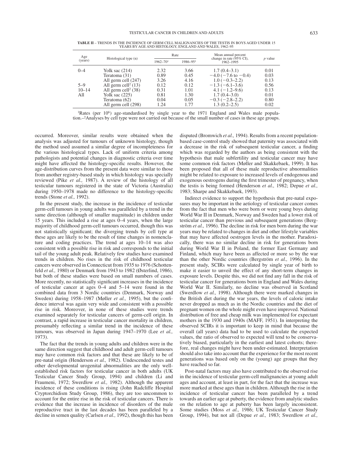| Age<br>(years) | Histological type (n)             | Rate         |              | Mean annual percent                   |           |
|----------------|-----------------------------------|--------------|--------------|---------------------------------------|-----------|
|                |                                   | $1962 - 701$ | $1986 - 951$ | change in rate (95% CI),<br>1962-1995 | $p$ value |
| $0 - 4$        | Yolk sac (214)                    | 2.32         | 3.66         | $1.7(0.4-3.1)$                        | 0.01      |
|                | Teratoma (31)                     | 0.89         | 0.45         | $-4.0$ ( $-7.6$ to $-0.4$ )           | 0.03      |
|                | All germ cell (247)               | 3.26         | 4.16         | $1.0(-0.3-2.2)$                       | 0.13      |
| $5 - 9$        | All germ cell <sup>2</sup> $(13)$ | 0.12         | 0.12         | $-1.3(-6.1-3.6)$                      | 0.56      |
| $10 - 14$      | All germ cell $2(38)$             | 0.31         | 1.01         | $4.1(-1.2-9.6)$                       | 0.13      |
| All            | Yolk sac (225)                    | 0.81         | 1.30         | $1.7(0.4 - 3.0)$                      | 0.01      |
|                | Teratoma (62)                     | 0.04         | 0.05         | $-0.3(-2.8-2.2)$                      | 0.80      |
|                | All germ cell (298)               | 1.24         | 1.77         | $1.3(0.2 - 2.5)$                      | 0.02      |

**TABLE II** – TRENDS IN THE INCIDENCE OF GERM CELL MALIGNANCIES OF THE TESTIS IN BOYS AGED UNDER 15 YEARS BY AGE AND HISTOLOGY, ENGLAND AND WALES, 1962–95

<sup>1</sup>Rates (per 10<sup>6</sup>) age-standardised by single year to the 1971 England and Wales male population.–<sup>2</sup>Analyses by cell type were not carried out because of the small number of cases in these age groups.

occurred. Moreover, similar results were obtained when the analysis was adjusted for tumours of unknown histology, though the method used assumed a similar degree of incompleteness for the various histological types. Lack of uniform criteria among pathologists and potential changes in diagnostic criteria over time might have affected the histology-specific results. However, the age-distribution curves from the present data were similar to those from another registry-based study in which histology was specially reviewed (Pike *et al.,* 1987). A review of the histology of all testicular tumours registered in the state of Victoria (Australia) during 1950–1978 made no difference to the histology-specific trends (Stone *et al.,* 1992).

In the present study, the increase in the incidence of testicular germ-cell tumours in young adults was paralleled by a trend in the same direction (although of smaller magnitude) in children under 15 years. This included a rise at ages 0–4 years, when the large majority of childhood germ-cell tumours occurred, though this was not statistically significant; the diverging trends by cell type at these ages are likely to be the result of time changes in nomenclature and coding practices. The trend at ages 10–14 was also consistent with a possible rise in risk and corresponds to the initial tail of the young adult peak. Relatively few studies have examined trends in children. No rises in the risk of childhood testicular cancers were observed in Connecticut from 1935 to 1976 (Schottenfeld *et al.,* 1980) or Denmark from 1943 to 1982 (Østerlind, 1986), but both of these studies were based on small numbers of cases. More recently, no statistically significant increases in the incidence of testicular cancer at ages 0–4 and 5–14 were found in the combined data from 3 Nordic countries (Denmark, Norway and Sweden) during 1958–1987 (Møller *et al.,* 1995), but the confidence interval was again very wide and consistent with a possible rise in risk. Moreover, in none of these studies were trends examined separately for testicular cancers of germ-cell origin. In contrast, a rapid increase in testicular cancer mortality in children, presumably reflecting a similar trend in the incidence of these tumours, was observed in Japan during 1947–1970 (Lee *et al.,* 1973).

The fact that the trends in young adults and children were in the same direction suggest that childhood and adult germ-cell tumours may have common risk factors and that these are likely to be of pre-natal origin (Henderson *et al.,* 1982). Undescended testes and other developmental urogenital abnormalities are the only wellestablished risk factors for testicular cancer in both adults (UK Testicular Cancer Study Group, 1994) and children (Li and Fraumeni, 1972; Swerdlow *et al.,* 1982). Although the apparent incidence of these conditions is rising (John Radcliffe Hospital Cryptorchidism Study Group, 1986), they are too uncommon to account for the entire rise in the risk of testicular cancers. There is evidence that the increase in incidence of disorders of the male reproductive tract in the last decades has been paralleled by a decline in semen quality (Carlsen *et al.,* 1992), though this has been disputed (Bromwich *et al.,* 1994). Results from a recent populationbased case-control study showed that paternity was associated with a decrease in the risk of subsequent testicular cancer, a finding which was regarded by the authors as being consistent with the hypothesis that male subfertility and testicular cancer may have some common risk factors (Møller and Skakkebaek, 1999). It has been proposed that all of these male reproductive abnormalities might be related to exposure to increased levels of endogenous and exogenous oestrogens during the first trimester of pregnancy, when the testis is being formed (Henderson *et al.,* 1982; Depue *et al.,* 1983; Sharpe and Skakkebaek, 1993).

Indirect evidence to support the hypothesis that pre-natal exposures may be important in the aetiology of testicular cancer comes from the fact that men who were born or were young boys during World War II in Denmark, Norway and Sweden had a lower risk of testicular cancer than previous and subsequent generations (Bergström *et al.*, 1996). The decline in risk for men born during the war years may be related to changes in diet and other lifestyle variables that may have affected oestrogen levels in the mother. Paradoxically, there was no similar decline in risk for generations born during World War II in Poland, the former East Germany and Finland, which may have been as affected or more so by the war than the other Nordic countries (Bergström et al., 1996). In the present study, SCIRs were calculated by single year of birth to make it easier to unveil the effect of any short-term changes in exposure levels. Despite this, we did not find any fall in the risk of testicular cancer for generations born in England and Wales during World War II. Similarly, no decline was observed in Scotland (Swerdlow *et al.,* 1998). Although there were marked changes in the British diet during the war years, the levels of caloric intake never dropped as much as in the Nordic countries and the diet of pregnant women on the whole might even have improved. National distribution of free and cheap milk was implemented for expectant mothers in the 1930 and 1940s (MAFF, 1951). In interpreting the observed SCIRs it is important to keep in mind that because the overall (all years) data had to be used to calculate the expected values, the ratio of observed to expected will tend to be conservatively biased, particularly in the earliest and latest cohorts; therefore, real changes might have been under-estimated. Interpretation should also take into account that the experience for the most recent generations was based only on the (young) age groups that they have reached so far.

Post-natal factors may also have contributed to the observed rise in the incidence of testicular germ-cell malignancies at young adult ages and account, at least in part, for the fact that the increase was more marked at these ages than in children. Although the rise in the incidence of testicular cancer has been paralleled by a trend towards an earlier age at puberty, the evidence from analytic studies on the relation to age at puberty has been largely inconsistent. Some studies (Moss *et al.,* 1986; UK Testicular Cancer Study Group, 1994), but not all (Depue *et al.,* 1983; Swerdlow *et al.,*